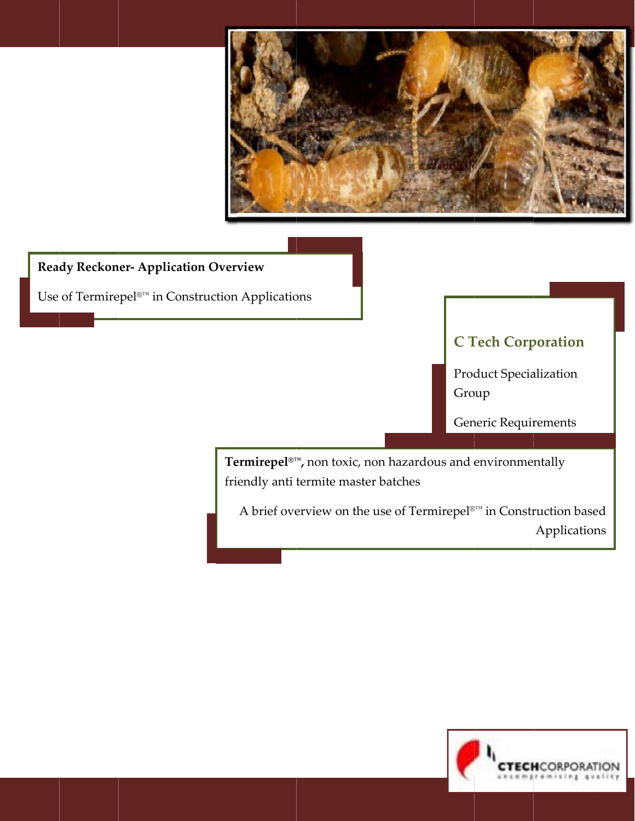

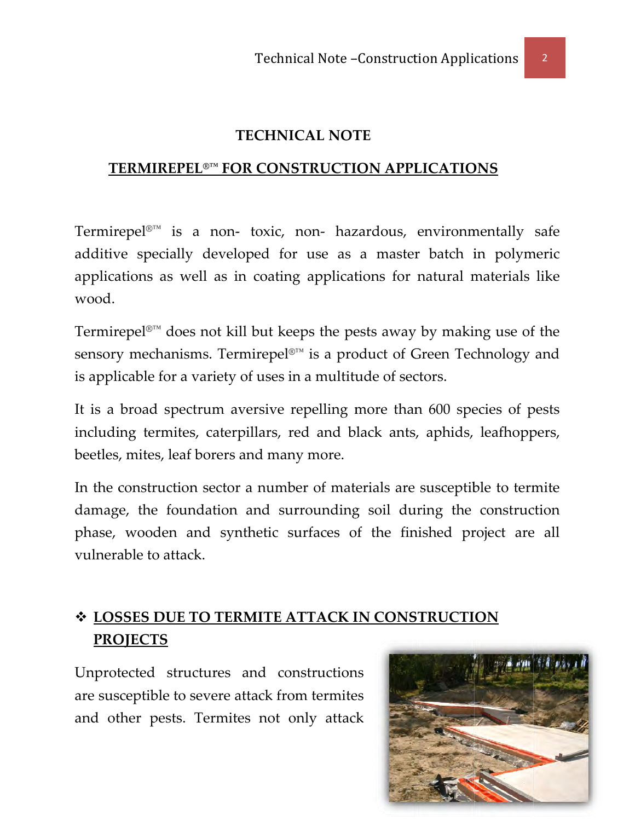#### **TECHNICAL NOTE**

#### TERMIREPEL<sup>®™</sup> FOR CONSTRUCTION APPLICATIONS

Termirepel<sup>®™</sup> is a non- toxic, non- hazardous, environmentally safe additive specially developed for use as a master batch in polymeric applications as well as in coating applications for natural materials like wood.

Termirepel<sup>®™</sup> does not kill but keeps the pests away by making use of the sensory mechanisms. Termirepel<sup>®™</sup> is a product of Green Technology and is applicable for a variety of uses in a multitude of sectors.

It is a broad spectrum aversive repelling more than 600 species of pests including termites, caterpillars, red and black ants, aphids, leafhoppers, beetles, mites, leaf borers and many more.

In the construction sector a number of materials are susceptible to termite damage, the foundation and surrounding soil during the construction phase, wooden and synthetic surfaces of the finished project are all vulnerable to attack.

# ❖ LOSSES DUE TO TERMITE ATTACK IN CONSTRUCTION **PROJECTS**

Unprotected structures and constructions are susceptible to severe attack from termites and other pests. Termites not only attack

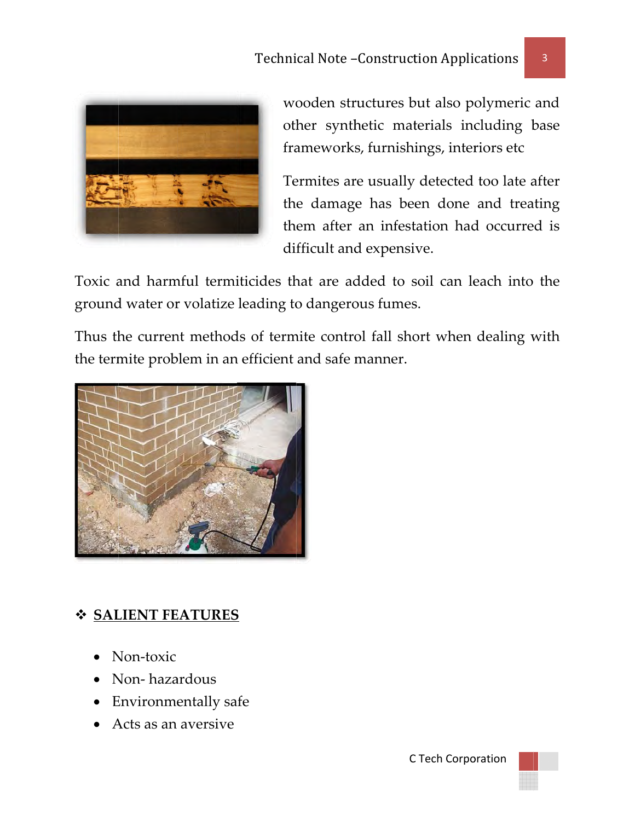

wooden structures but also polymeric and other synthetic materials including base frameworks, furnishings, interiors etc

Termites are usually detected too late after the damage has been done and treating them after an infestation had occurred is difficult and expensive.

Toxic and harmful termiticides that are added to soil can leach into the ground water or volatize leading to dangerous fumes.

Thus the current methods of termite control fall short when dealing with the termite problem in an efficient and safe manner.



# ❖ SALIENT FEATURES

- $\bullet$  Non-toxic
- Non-hazardous
- Environmentally safe
- Acts as an aversive

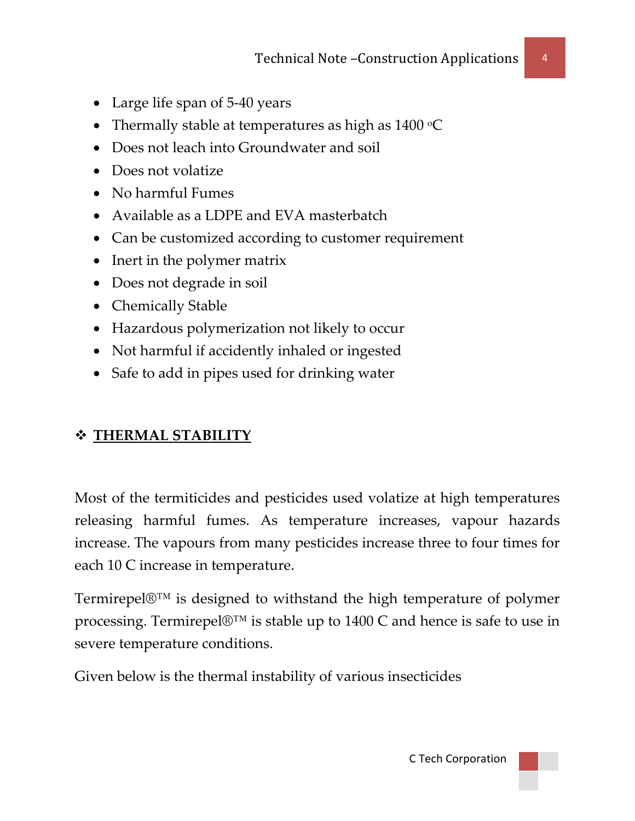- Large life span of 5-40 years
- Thermally stable at temperatures as high as  $1400\text{ °C}$
- Does not leach into Groundwater and soil
- Does not volatize
- No harmful Fumes
- Available as a LDPE and EVA masterbatch
- Can be customized according to customer requirement
- Inert in the polymer matrix
- Does not degrade in soil
- Chemically Stable
- Hazardous polymerization not likely to occur
- Not harmful if accidently inhaled or ingested
- Safe to add in pipes used for drinking water

### **THERMAL STABILITY**

Most of the termiticides and pesticides used volatize at high temperatures releasing harmful fumes. As temperature increases, vapour hazards increase. The vapours from many pesticides increase three to four times for each 10 C increase in temperature.

Termirepel®™ is designed to withstand the high temperature of polymer processing. Termirepel®™ is stable up to 1400 C and hence is safe to use in severe temperature conditions.

Given below is the thermal instability of various insecticides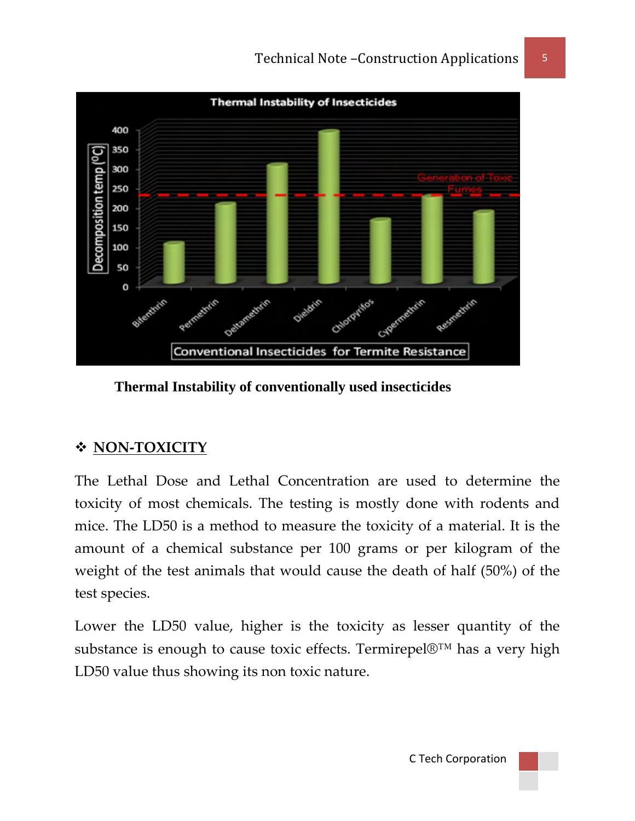

 **Thermal Instability of conventionally used insecticides** 

### **NON‐TOXICITY**

The Lethal Dose and Lethal Concentration are used to determine the toxicity of most chemicals. The testing is mostly done with rodents and mice. The LD50 is a method to measure the toxicity of a material. It is the amount of a chemical substance per 100 grams or per kilogram of the weight of the test animals that would cause the death of half (50%) of the test species.

Lower the LD50 value, higher is the toxicity as lesser quantity of the substance is enough to cause toxic effects. Termirepel®™ has a very high LD50 value thus showing its non toxic nature.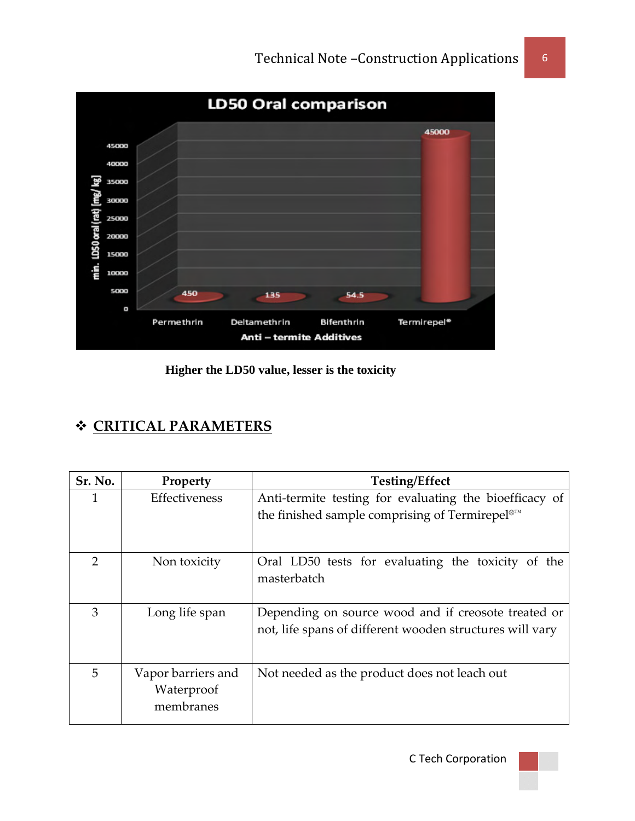

 **Higher the LD50 value, lesser is the toxicity** 

# **CRITICAL PARAMETERS**

| Sr. No.        | Property           | <b>Testing/Effect</b>                                      |
|----------------|--------------------|------------------------------------------------------------|
| 1              | Effectiveness      | Anti-termite testing for evaluating the bioefficacy of     |
|                |                    | the finished sample comprising of Termirepel <sup>®™</sup> |
|                |                    |                                                            |
| $\overline{2}$ | Non toxicity       | Oral LD50 tests for evaluating the toxicity of the         |
|                |                    | masterbatch                                                |
|                |                    |                                                            |
| 3              | Long life span     | Depending on source wood and if creosote treated or        |
|                |                    | not, life spans of different wooden structures will vary   |
|                |                    |                                                            |
| 5              | Vapor barriers and | Not needed as the product does not leach out               |
|                | Waterproof         |                                                            |
|                | membranes          |                                                            |
|                |                    |                                                            |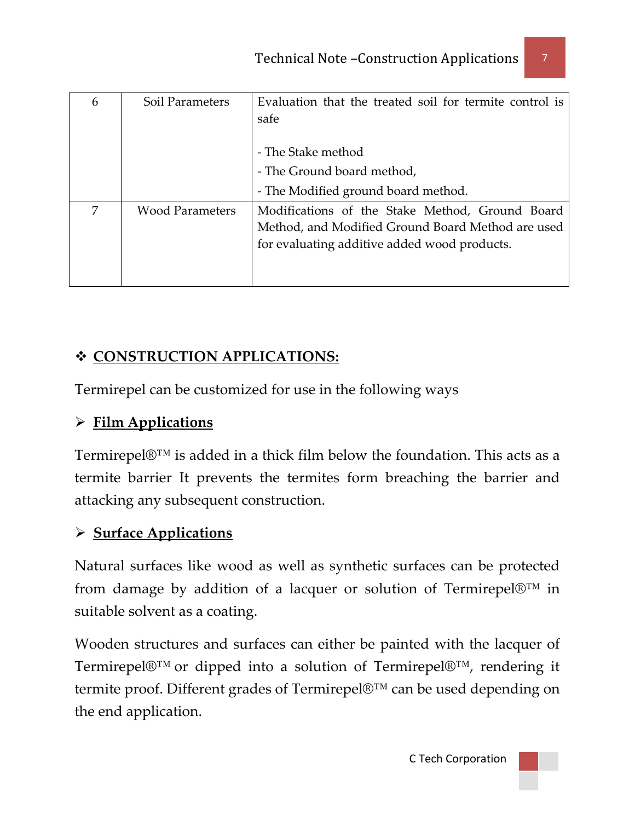| 6 | Soil Parameters        | Evaluation that the treated soil for termite control is<br>safe |
|---|------------------------|-----------------------------------------------------------------|
|   |                        | - The Stake method                                              |
|   |                        | - The Ground board method,                                      |
|   |                        | - The Modified ground board method.                             |
| 7 | <b>Wood Parameters</b> | Modifications of the Stake Method, Ground Board                 |
|   |                        | Method, and Modified Ground Board Method are used               |
|   |                        | for evaluating additive added wood products.                    |
|   |                        |                                                                 |
|   |                        |                                                                 |

### **CONSTRUCTION APPLICATIONS:**

Termirepel can be customized for use in the following ways

### ¾ **Film Applications**

Termirepel $\mathbb{D}^{TM}$  is added in a thick film below the foundation. This acts as a termite barrier It prevents the termites form breaching the barrier and attacking any subsequent construction.

#### ¾ **Surface Applications**

Natural surfaces like wood as well as synthetic surfaces can be protected from damage by addition of a lacquer or solution of Termirepel $\mathbb{D}^{TM}$  in suitable solvent as a coating.

Wooden structures and surfaces can either be painted with the lacquer of Termirepel®™ or dipped into a solution of Termirepel®™, rendering it termite proof. Different grades of Termirepel®™ can be used depending on the end application.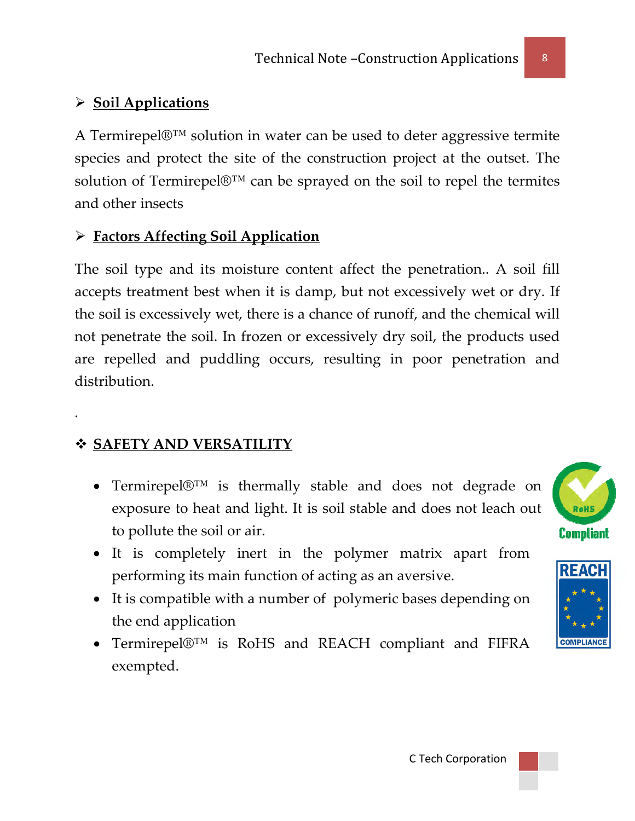# ¾ **Soil Applications**

A Termirepel®™ solution in water can be used to deter aggressive termite species and protect the site of the construction project at the outset. The solution of Termirepel $\mathbb{D}^{TM}$  can be sprayed on the soil to repel the termites and other insects

#### ¾ **Factors Affecting Soil Application**

The soil type and its moisture content affect the penetration.. A soil fill accepts treatment best when it is damp, but not excessively wet or dry. If the soil is excessively wet, there is a chance of runoff, and the chemical will not penetrate the soil. In frozen or excessively dry soil, the products used are repelled and puddling occurs, resulting in poor penetration and distribution.

# **SAFETY AND VERSATILITY**

.

- Termirepel®™ is thermally stable and does not degrade on exposure to heat and light. It is soil stable and does not leach out to pollute the soil or air.
- It is completely inert in the polymer matrix apart from performing its main function of acting as an aversive.
- It is compatible with a number of polymeric bases depending on the end application
- Termirepel®™ is RoHS and REACH compliant and FIFRA exempted.